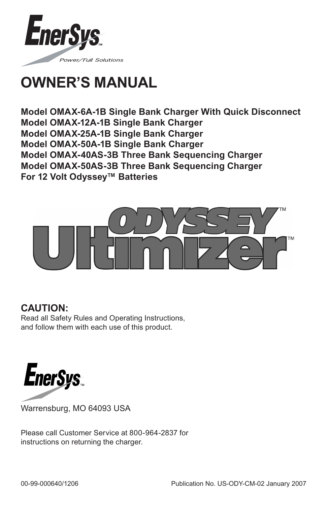

# **OWNER'S MANUAL**

**Model OMAX-6A-1B Single Bank Charger With Quick Disconnect Model OMAX-12A-1B Single Bank Charger Model OMAX-25A-1B Single Bank Charger Model OMAX-50A-1B Single Bank Charger Model OMAX-40AS-3B Three Bank Sequencing Charger Model OMAX-50AS-3B Three Bank Sequencing Charger For 12 Volt Odyssey™ Batteries**



# **CAUTION:**

Read all Safety Rules and Operating Instructions, and follow them with each use of this product.



Warrensburg, MO 64093 USA

Please call Customer Service at 800-964-2837 for instructions on returning the charger.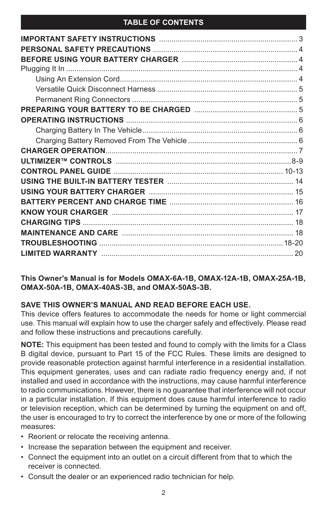# **TABLE OF CONTENTS**

**This Owner's Manual is for Models OMAX-6A-1B, OMAX-12A-1B, OMAX-25A-1B, OMAX-50A-1B, OMAX-40AS-3B, and OMAX-50AS-3B.**

#### **SAVE THIS OWNER'S MANUAL AND READ BEFORE EACH USE.**

This device offers features to accommodate the needs for home or light commercial use. This manual will explain how to use the charger safely and effectively. Please read and follow these instructions and precautions carefully.

**NOTE:** This equipment has been tested and found to comply with the limits for a Class B digital device, pursuant to Part 15 of the FCC Rules. These limits are designed to provide reasonable protection against harmful interference in a residential installation. This equipment generates, uses and can radiate radio frequency energy and, if not installed and used in accordance with the instructions, may cause harmful interference to radio communications. However, there is no guarantee that interference will not occur in a particular installation. If this equipment does cause harmful interference to radio or television reception, which can be determined by turning the equipment on and off, the user is encouraged to try to correct the interference by one or more of the following measures:

- Reorient or relocate the receiving antenna.
- Increase the separation between the equipment and receiver.
- Connect the equipment into an outlet on a circuit different from that to which the receiver is connected.
- Consult the dealer or an experienced radio technician for help.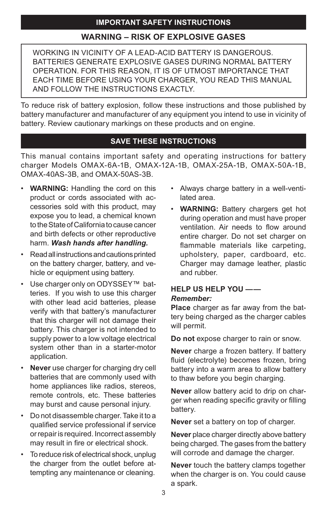# **WARNING – RISK OF EXPLOSIVE GASES**

WORKING IN VICINITY OF A LEAD-ACID BATTERY IS DANGEROUS. BATTERIES GENERATE EXPLOSIVE GASES DURING NORMAL BATTERY OPERATION. FOR THIS REASON, IT IS OF UTMOST IMPORTANCE THAT EACH TIME BEFORE USING YOUR CHARGER, YOU READ THIS MANUAL AND FOLLOW THE INSTRUCTIONS EXACTLY.

To reduce risk of battery explosion, follow these instructions and those published by battery manufacturer and manufacturer of any equipment you intend to use in vicinity of battery. Review cautionary markings on these products and on engine.

# **save these Instructions**

This manual contains important safety and operating instructions for battery charger Models OMAX-6A-1B, OMAX-12A-1B, OMAX-25A-1B, OMAX-50A-1B, OMAX-40AS-3B, and OMAX-50AS-3B.

- **WARNING:** Handling the cord on this product or cords associated with accessories sold with this product, may expose you to lead, a chemical known to the State of California to cause cancer and birth defects or other reproductive harm. *Wash hands after handling.*
- Read all instructions and cautions printed on the battery charger, battery, and vehicle or equipment using battery.
- Use charger only on ODYSSEY™ batteries. If you wish to use this charger with other lead acid batteries, please verify with that battery's manufacturer that this charger will not damage their battery. This charger is not intended to supply power to a low voltage electrical system other than in a starter-motor application.
- **Never** use charger for charging dry cell batteries that are commonly used with home appliances like radios, stereos, remote controls, etc. These batteries may burst and cause personal injury.
- Do not disassemble charger. Take it to a qualified service professional if service or repair is required. Incorrect assembly may result in fire or electrical shock.
- To reduce risk of electrical shock, unplug the charger from the outlet before attempting any maintenance or cleaning.
- Always charge battery in a well-ventilated area.
- **WARNING:** Battery chargers get hot during operation and must have proper ventilation. Air needs to flow around entire charger. Do not set charger on flammable materials like carpeting, upholstery, paper, cardboard, etc. Charger may damage leather, plastic and rubber.

# **Help us help you ——**

# *Remember:*

**Place** charger as far away from the battery being charged as the charger cables will permit.

**Do not** expose charger to rain or snow.

**Never** charge a frozen battery. If battery fluid (electrolyte) becomes frozen, bring battery into a warm area to allow battery to thaw before you begin charging.

**Never** allow battery acid to drip on charger when reading specific gravity or filling battery.

**Never** set a battery on top of charger.

**Never** place charger directly above battery being charged. The gases from the battery will corrode and damage the charger.

**Never** touch the battery clamps together when the charger is on. You could cause a spark.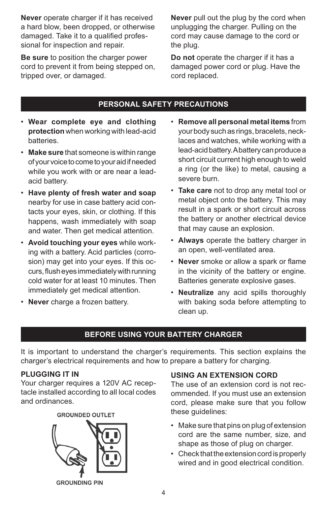**Never** operate charger if it has received a hard blow, been dropped, or otherwise damaged. Take it to a qualified professional for inspection and repair.

**Be sure** to position the charger power cord to prevent it from being stepped on, tripped over, or damaged.

**Never** pull out the plug by the cord when unplugging the charger. Pulling on the cord may cause damage to the cord or the plug.

**Do not** operate the charger if it has a damaged power cord or plug. Have the cord replaced.

# **Personal Safety Precautions**

- **Wear complete eye and clothing protection** when working with lead-acid batteries.
- **Make sure** that someone is within range of your voice to come to your aid if needed while you work with or are near a leadacid battery.
- **Have plenty of fresh water and soap**  nearby for use in case battery acid contacts your eyes, skin, or clothing. If this happens, wash immediately with soap and water. Then get medical attention.
- **Avoid touching your eyes** while working with a battery. Acid particles (corrosion) may get into your eyes. If this occurs, flush eyes immediately with running cold water for at least 10 minutes. Then immediately get medical attention.
- **Never** charge a frozen battery.
- **Remove all personal metal items** from your body such as rings, bracelets, necklaces and watches, while working with a lead-acid battery. A battery can produce a short circuit current high enough to weld a ring (or the like) to metal, causing a severe burn.
- **Take care** not to drop any metal tool or metal object onto the battery. This may result in a spark or short circuit across the battery or another electrical device that may cause an explosion.
- **Always** operate the battery charger in an open, well-ventilated area.
- **Never** smoke or allow a spark or flame in the vicinity of the battery or engine. Batteries generate explosive gases.
- **Neutralize** any acid spills thoroughly with baking soda before attempting to clean up.

# **BEFORE USING YOUR BATTERY CHARGER**

It is important to understand the charger's requirements. This section explains the charger's electrical requirements and how to prepare a battery for charging.

#### **PLUGGING IT IN**

Your charger requires a 120V AC receptacle installed according to all local codes and ordinances.

**GROUNDED OUTLET** 



#### **USING AN EXTENSION CORD**

The use of an extension cord is not recommended. If you must use an extension cord, please make sure that you follow these guidelines:

- Make sure that pins on plug of extension cord are the same number, size, and shape as those of plug on charger.
- Check that the extension cord is properly wired and in good electrical condition.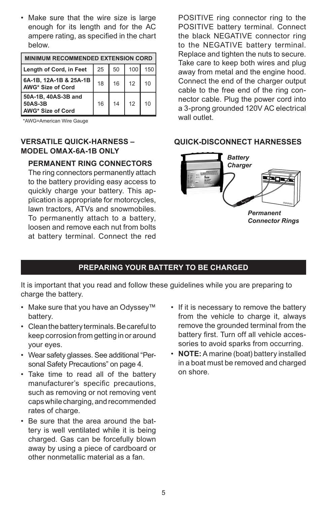• Make sure that the wire size is large enough for its length and for the AC ampere rating, as specified in the chart below.

| <b>MINIMUM RECOMMENDED EXTENSION CORD I</b>         |    |    |            |     |
|-----------------------------------------------------|----|----|------------|-----|
| Length of Cord, in Feet                             | 25 | 50 | 100        | 150 |
| 6A-1B, 12A-1B & 25A-1B<br>AWG* Size of Cord         | 18 | 16 | 12         | 10  |
| 50A-1B, 40AS-3B and<br>50AS-3B<br>AWG* Size of Cord | 16 | 14 | $\vert$ 12 | 10  |

\*AWG=American Wire Gauge

## **VERSATILE QUICK-HARNESS – MODEL OMAX-6A-1B ONLY**

#### **Permanent Ring Connectors**

The ring connectors permanently attach to the battery providing easy access to quickly charge your battery. This application is appropriate for motorcycles, lawn tractors, ATVs and snowmobiles. To permanently attach to a battery, loosen and remove each nut from bolts at battery terminal. Connect the red

POSITIVE ring connector ring to the POSITIVE battery terminal. Connect the black NEGATIVE connector ring to the NEGATIVE battery terminal. Replace and tighten the nuts to secure. Take care to keep both wires and plug away from metal and the engine hood. Connect the end of the charger output cable to the free end of the ring connector cable. Plug the power cord into a 3-prong grounded 120V AC electrical wall outlet.

# **QUICK-DISCONNECT HARNESSES**



# **Preparing your battery to be charged**

It is important that you read and follow these guidelines while you are preparing to charge the battery.

- Make sure that you have an Odyssey™ battery.
- Clean the battery terminals. Be careful to keep corrosion from getting in or around your eyes.
- Wear safety glasses. See additional "Personal Safety Precautions" on page 4.
- Take time to read all of the battery manufacturer's specific precautions, such as removing or not removing vent caps while charging, and recommended rates of charge.
- Be sure that the area around the battery is well ventilated while it is being charged. Gas can be forcefully blown away by using a piece of cardboard or other nonmetallic material as a fan.
- If it is necessary to remove the battery from the vehicle to charge it, always remove the grounded terminal from the battery first. Turn off all vehicle accessories to avoid sparks from occurring.
- **NOTE:** A marine (boat) battery installed in a boat must be removed and charged on shore.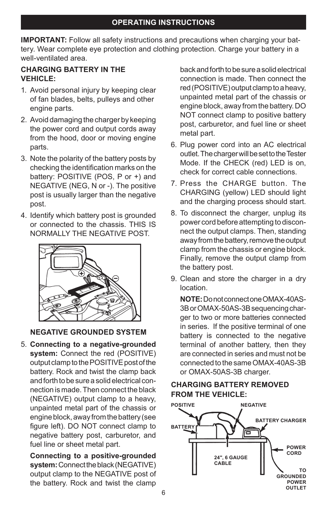**IMPORTANT:** Follow all safety instructions and precautions when charging your battery. Wear complete eye protection and clothing protection. Charge your battery in a well-ventilated area.

### **Charging Battery In The Vehicle:**

- 1. Avoid personal injury by keeping clear of fan blades, belts, pulleys and other engine parts.
- 2. Avoid damaging the charger by keeping the power cord and output cords away from the hood, door or moving engine parts.
- 3. Note the polarity of the battery posts by checking the identification marks on the battery: POSITIVE (POS, P or +) and NEGATIVE (NEG, N or -). The positive post is usually larger than the negative post.
- 4. Identify which battery post is grounded or connected to the chassis. THIS IS NORMALLY THE NEGATIVE POST.



#### **NEGATIVE GROUNDED SYSTEM**

5. **Connecting to a negative-grounded system:** Connect the red (POSITIVE) output clamp to the POSITIVE post of the battery. Rock and twist the clamp back and forth to be sure a solid electrical connection is made. Then connect the black (NEGATIVE) output clamp to a heavy, unpainted metal part of the chassis or engine block, away from the battery (see figure left). DO NOT connect clamp to negative battery post, carburetor, and fuel line or sheet metal part.

**Connecting to a positive-grounded system:** Connect the black (NEGATIVE) output clamp to the NEGATIVE post of the battery. Rock and twist the clamp

back and forth to be sure a solid electrical connection is made. Then connect the red (POSITIVE) output clamp to a heavy, unpainted metal part of the chassis or engine block, away from the battery. DO NOT connect clamp to positive battery post, carburetor, and fuel line or sheet metal part.

- 6. Plug power cord into an AC electrical outlet. The charger will be set to the Tester Mode. If the CHECK (red) LED is on, check for correct cable connections.
- 7. Press the CHARGE button. The CHARGING (yellow) LED should light and the charging process should start.
- 8. To disconnect the charger, unplug its power cord before attempting to disconnect the output clamps. Then, standing away from the battery, remove the output clamp from the chassis or engine block. Finally, remove the output clamp from the battery post.
- 9. Clean and store the charger in a dry location.

**NOTE:** Do not connect one OMAX-40AS-3B or OMAX-50AS-3B sequencing charger to two or more batteries connected in series. If the positive terminal of one battery is connected to the negative terminal of another battery, then they are connected in series and must not be connected to the same OMAX-40AS-3B or OMAX-50AS-3B charger.

# **Charging Battery Removed FROM THE VEHICLE:**

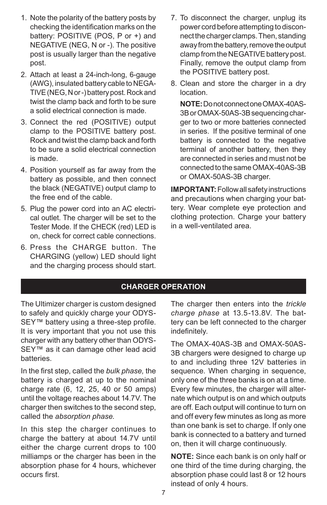- 1. Note the polarity of the battery posts by checking the identification marks on the battery: POSITIVE (POS, P or +) and NEGATIVE (NEG, N or -). The positive post is usually larger than the negative post.
- 2. Attach at least a 24-inch-long, 6-gauge (AWG), insulated battery cable to NEGA-TIVE (NEG, N or -) battery post. Rock and twist the clamp back and forth to be sure a solid electrical connection is made.
- 3. Connect the red (POSITIVE) output clamp to the POSITIVE battery post. Rock and twist the clamp back and forth to be sure a solid electrical connection is made.
- 4. Position yourself as far away from the battery as possible, and then connect the black (NEGATIVE) output clamp to the free end of the cable.
- 5. Plug the power cord into an AC electrical outlet. The charger will be set to the Tester Mode. If the CHECK (red) LED is on, check for correct cable connections.
- 6. Press the CHARGE button. The CHARGING (yellow) LED should light and the charging process should start.
- 7. To disconnect the charger, unplug its power cord before attempting to disconnect the charger clamps. Then, standing away from the battery, remove the output clamp from the NEGATIVE battery post. Finally, remove the output clamp from the POSITIVE battery post.
- 8. Clean and store the charger in a dry location.

**NOTE:** Do not connect one OMAX-40AS-3B or OMAX-50AS-3B sequencing charger to two or more batteries connected in series. If the positive terminal of one battery is connected to the negative terminal of another battery, then they are connected in series and must not be connected to the same OMAX-40AS-3B or OMAX-50AS-3B charger.

**IMPORTANT:** Follow all safety instructions and precautions when charging your battery. Wear complete eye protection and clothing protection. Charge your battery in a well-ventilated area.

#### **CHARGER OPERATION**

The Ultimizer charger is custom designed to safely and quickly charge your ODYS-SEY<sup>™</sup> battery using a three-step profile. It is very important that you not use this charger with any battery other than ODYS-SEY<sup>™</sup> as it can damage other lead acid batteries.

In the first step, called the *bulk phase,* the battery is charged at up to the nominal charge rate (6, 12, 25, 40 or 50 amps) until the voltage reaches about 14.7V. The charger then switches to the second step, called the *absorption phase*.

In this step the charger continues to charge the battery at about 14.7V until either the charge current drops to 100 milliamps or the charger has been in the absorption phase for 4 hours, whichever occurs first.

The charger then enters into the *trickle charge phase* at 13.5-13.8V. The battery can be left connected to the charger indefinitely.

The OMAX-40AS-3B and OMAX-50AS-3B chargers were designed to charge up to and including three 12V batteries in sequence. When charging in sequence, only one of the three banks is on at a time. Every few minutes, the charger will alternate which output is on and which outputs are off. Each output will continue to turn on and off every few minutes as long as more than one bank is set to charge. If only one bank is connected to a battery and turned on, then it will charge continuously.

**NOTE:** Since each bank is on only half or one third of the time during charging, the absorption phase could last 8 or 12 hours instead of only 4 hours.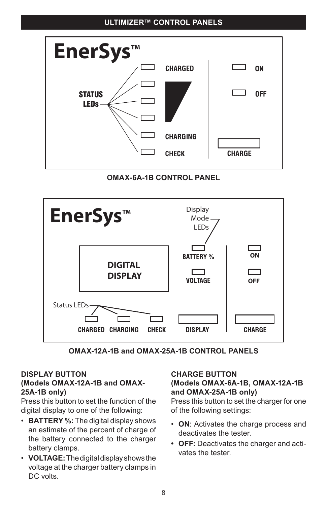

**OMAX-6A-1B CONTROL PANEL**



**OMAX-12A-1B and OMAX-25A-1B CONTROL PANELS**

#### **DISPLAY BUTTON (Models OMAX-12A-1B and OMAX-25A-1B only)**

Press this button to set the function of the digital display to one of the following:

- **BATTERY %:** The digital display shows an estimate of the percent of charge of the battery connected to the charger battery clamps.
- **VOLTAGE:** The digital display shows the voltage at the charger battery clamps in DC volts.

#### **CHARGE BUTTON (Models OMAX-6A-1B, OMAX-12A-1B and OMAX-25A-1B only)**

Press this button to set the charger for one of the following settings:

- **ON**: Activates the charge process and deactivates the tester.
- **• OFF:** Deactivates the charger and activates the tester.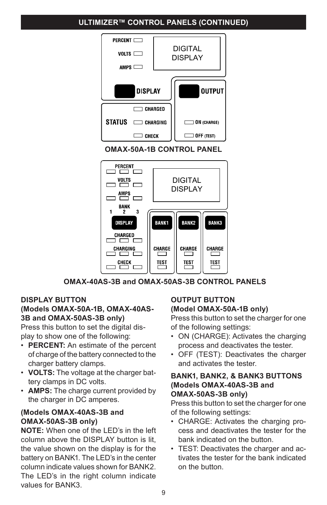# **Ultimizer™ Control Panels (continued)**



**OMAX-40AS-3B and OMAX-50AS-3B CONTROL PANELS**

#### **DISPLAY BUTTON (Models OMAX-50A-1B, OMAX-40AS-3B and OMAX-50AS-3B only)**

Press this button to set the digital display to show one of the following:

- **PERCENT:** An estimate of the percent of charge of the battery connected to the charger battery clamps.
- **VOLTS:** The voltage at the charger battery clamps in DC volts.
- **AMPS:** The charge current provided by the charger in DC amperes.

# **(Models OMAX-40AS-3B and OMAX-50AS-3B only)**

**NOTE:** When one of the LED's in the left column above the DISPLAY button is lit, the value shown on the display is for the battery on BANK1. The LED's in the center column indicate values shown for BANK2. The LED's in the right column indicate values for BANK3.

# **OUTPUT BUTTON (Model OMAX-50A-1B only)**

Press this button to set the charger for one of the following settings:

- ON (CHARGE): Activates the charging process and deactivates the tester.
- OFF (TEST): Deactivates the charger and activates the tester.

#### **BANK1, BANK2, & BANK3 BUTTONS (Models OMAX-40AS-3B and OMAX-50AS-3B only)**

Press this button to set the charger for one of the following settings:

- CHARGE: Activates the charging process and deactivates the tester for the bank indicated on the button.
- TEST: Deactivates the charger and activates the tester for the bank indicated on the button.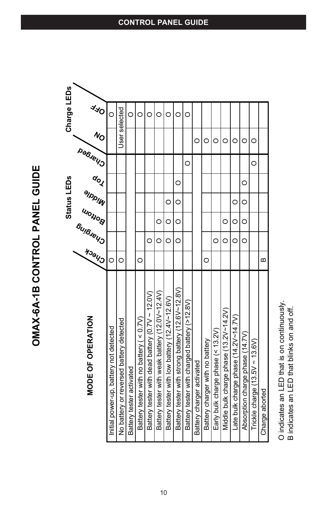

**OMAX-6A-1B CONTROL PANEL GUIDE**

OMAX-6A-1B CONTROL PANEL GUIDE

O indicates an LED that is on continuously. O indicates an LED that is on continuously. B indicates an LED that blinks on and off. B indicates an LED that blinks on and off.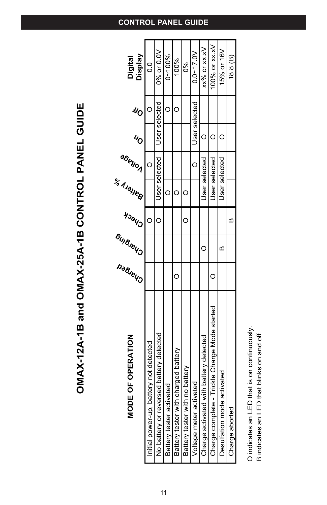| :<br>(                    |
|---------------------------|
| .<br> <br> <br> <br> <br> |
| $\frac{1}{4}$             |
| -<br>-<br>-<br>-<br>-     |
| ֧֦֧֝֬ <sup>֚</sup>        |
| i                         |
| ֧֞֜<br>ć                  |

| <b>MODE OF OPERATION</b>                      |   | TUIBJELLO | <b>Dela</b> | <b>BENOT</b><br><b>Maneg</b> | $v_{\rm C}$ |               | Display<br>Digital      |
|-----------------------------------------------|---|-----------|-------------|------------------------------|-------------|---------------|-------------------------|
| Initial power-up, battery not detected        |   |           |             |                              |             |               | o<br>O                  |
| No battery or reversed battery detected       |   |           |             | User selected                |             | Jser selected | 0% or 0.0V              |
| Battery tester activated                      |   |           |             |                              |             |               | $0 - 100%$              |
| Battery tester with charged battery           | c |           |             |                              |             |               | 100%                    |
| Battery tester with no battery                |   |           |             |                              |             |               | ŏ°o                     |
| Voltage meter activated                       |   |           |             |                              |             | Jser selected | $0.0 - 17.0V$           |
| Charge activated with battery detected        |   |           |             | Jser selected                | C           |               | $XX\%$ or $XX \times V$ |
| Charge complete - Trickle Charge Mode started |   |           |             | Jser selected                |             |               | $100\%$ or xx.xV        |
| Desulfation mode activated                    |   | ≃         |             | Jser selected                |             |               | 15% or 16V              |
| Charge aborted                                |   |           | ≃           |                              |             |               | 18.8(B)                 |

O indicates an LED that is on continuously.<br>B indicates an LED that blinks on and off. O indicates an LED that is on continuously.

B indicates an LED that blinks on and off.

# **Control panel guide**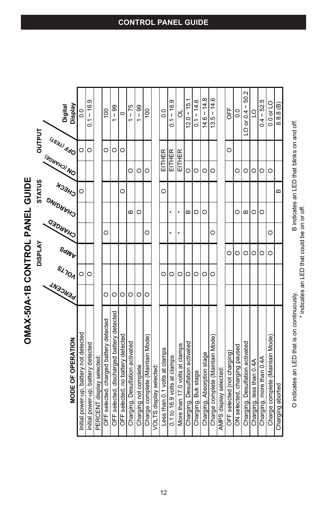| <b>OMAX-50A-1B CONTROL PANEL GUIDE</b>    |               |              |                |         |          |                               |         |               |                                         |
|-------------------------------------------|---------------|--------------|----------------|---------|----------|-------------------------------|---------|---------------|-----------------------------------------|
|                                           |               |              | <b>DISPLAY</b> |         |          | <b>STATUS</b>                 |         | <b>OUTPUT</b> |                                         |
|                                           |               |              |                |         |          |                               |         |               |                                         |
|                                           |               |              |                |         |          |                               |         |               |                                         |
| <b>MODE OF OPERATION</b>                  | <b>IN3OUS</b> | <b>SITON</b> | SdWP           | O3ONVHO |          | J <sub>CHECK</sub><br>Julions |         | US3U JAO      | Digital<br>Display                      |
| Initial power-up, battery not detected    |               | O            |                |         |          |                               |         |               | $\frac{0}{0}$                           |
| Initial power-up, battery detected        |               | O            |                |         |          |                               |         | O             | ~16.9<br>$\overline{c}$                 |
| PERCENT display selected:                 |               |              |                |         |          |                               |         |               |                                         |
| OFF selected, charged battery detected    | O             |              |                | O       |          |                               |         | O             | $\overline{00}$                         |
| OFF selected, discharged battery detected | O             |              |                |         |          |                               |         | O             | $-99$                                   |
| OFF selected, no battery detected         | O             |              |                |         |          | O                             |         | $\circ$       | $\circ$                                 |
| Charging, Desulfation activated           | O             |              |                |         | œ        |                               | O       |               | $1 - 75$                                |
| Charging not complete                     | O             |              |                |         | O        |                               | $\circ$ |               | $\sim 99$                               |
| Charge complete (Maintain Mode)           | O             |              |                | O       |          |                               | O       |               | $\overline{00}$                         |
| VOLTS display selected:                   |               |              |                |         |          |                               |         |               |                                         |
| Less than 0.1 volts at clamps             |               | O            |                |         |          | O                             |         | EITHER        | $\frac{0}{0}$                           |
| 0.1 to 16.9 volts at clamps               |               | O            |                | $\ast$  | ¥        |                               |         | EITHER        | $0.1 - 16.9$                            |
| More than 17.0 volts at clamps            |               | $\circ$      |                | ×       | ×        |                               |         | EITHER        | ಕ                                       |
| Charging, Desulfation activated           |               | $\circ$      |                |         | $\omega$ |                               | O       |               | $12.0 - 15.1$                           |
| Charging, Buk stage                       |               | O            |                |         | O        |                               | O       |               | $0.1 - 14.6$                            |
| Charging, Absorption stage                |               | O            |                |         | O        |                               | O       |               | $14.6 - 14.8$                           |
| Charge complete (Maintain Mode)           |               | O            |                | O       |          |                               | O       |               | $13.5 - 14.6$                           |
| AMPS display selected:                    |               |              |                |         |          |                               |         |               |                                         |
| OFF selected (not charging)               |               |              | O              |         |          |                               |         | Ō             | UFF                                     |
| ON selected, charging paused              |               |              | $\circ$        |         | O        |                               | O       |               | $\overline{0}$                          |
| Charging, Desulfation activated           |               |              | O              |         | Б        |                               | O       |               | 50.2<br>or 0.4 $\sim$<br>$\overline{C}$ |
| Charging, less than 0.4A                  |               |              | O              |         | $\circ$  |                               | O       |               | $\overline{C}$                          |
| Charging, more than 0.4A                  |               |              | O              |         | $\circ$  |                               | O       |               | $0.4 - 52.5$                            |
| Charge complete (Maintain Mode)           |               |              | O              | O       |          |                               | O       |               | 0.0 or LO                               |
| Charging aborted                          |               |              |                |         |          | B                             |         |               | 8.8.8(B)                                |
|                                           |               |              |                |         |          |                               |         |               |                                         |

B indicates an LED that blinks on and off. indicates an LED that is on continuously. B indicates an LED that blinks on and off.

\*indicates an LED that could be on or off.

O

**Control panel guide**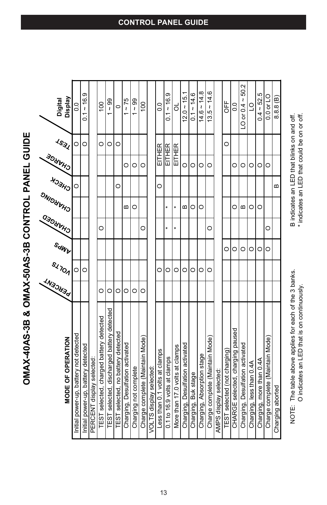**O M AX-4 0 A S-3 B & O** </del> **AX-5 0 A S-3 B**  $\mathbf{\mathbf{c}}$ **O N T R O L P A N E L G UID E**

| <b>MODE OF OPERATION</b>                               | <b>INSOUT</b> | <b>SLIDA</b> | SdWb    | OHARGED | SNISYWAS | <b>HOSHO</b> | <b>BANKIOE</b> | <b>Lear</b>                                 | Digital<br>Display                     |
|--------------------------------------------------------|---------------|--------------|---------|---------|----------|--------------|----------------|---------------------------------------------|----------------------------------------|
| nitial power-up, battery not detected                  |               | O            |         |         |          | $\circ$      |                | O                                           | $\overline{0}$                         |
| Initial power-up, battery detected                     |               | O            |         |         |          |              |                | O                                           | $0.1 - 16.9$                           |
| PERCENT display selected:                              |               |              |         |         |          |              |                |                                             |                                        |
| TEST selected, charged battery detected                | O             |              |         | O       |          |              |                | O                                           | $\overline{00}$                        |
| TEST selected, discharged battery detected             | O             |              |         |         |          |              |                | O                                           | $\frac{8}{3}$                          |
| TEST selected, no battery detected                     | O             |              |         |         |          | O            |                | $\circ$                                     | $\circ$                                |
| Charging, Desulfation activated                        | O             |              |         |         | m        |              | O              |                                             | $~\sim 75$                             |
| Charging not complete                                  | O             |              |         |         | O        |              | O              |                                             | $\frac{8}{3}$                          |
| Charge complete (Maintain Mode)                        | O             |              |         | O       |          |              | O              |                                             | $\overline{00}$                        |
| VOLTS display selected:                                |               |              |         |         |          |              |                |                                             |                                        |
| Less than 0.1 volts at clamps                          |               | O            |         |         |          | $\circ$      |                | EITHER                                      | $\frac{0}{0}$                          |
| 0.1 to 16.9 volts at clamps                            |               | O            |         | ¥       | ¥        |              |                | EITHER                                      | $0.1 - 16.9$                           |
| More than 17.0 volts at clamps                         |               | O            |         | ¥       | $\ast$   |              |                | EITHER                                      | ಠ                                      |
| Charging, Desulfation activated                        |               | O            |         |         | B        |              | O              |                                             | $12.0 - 15.1$                          |
| Charging, Buk stage                                    |               | O            |         |         | O        |              | O              |                                             | $0.1 - 14.6$                           |
| Charging, Absorption stage                             |               | O            |         |         | O        |              | O              |                                             | ~14.8<br>14.6                          |
| Charge complete (Maintain Mode)                        |               | O            |         | O       |          |              | O              |                                             | $13.5 - 14.6$                          |
| AMPS display selected:                                 |               |              |         |         |          |              |                |                                             |                                        |
| TEST selected (not charging)                           |               |              | O       |         |          |              |                | O                                           | <b>OFF</b>                             |
| CHARGE selected, charging paused                       |               |              | O       |         | O        |              | O              |                                             | $\frac{0}{0}$                          |
| Charging, Desulfation activated                        |               |              | O       |         | B        |              | $\circ$        |                                             | 50.2<br>or $0.4 \sim$<br>$\bar{\circ}$ |
| Charging, less than 0.4A                               |               |              | O       |         | $\circ$  |              | O              |                                             | $\overline{O}$                         |
| Charging, more than 0.4A                               |               |              | O       |         | O        |              | O              |                                             | $0.4 - 52.5$                           |
| Charge complete (Maintain Mode)                        |               |              | $\circ$ | O       |          |              | O              |                                             | 0.0 or LO                              |
| Charging aborted                                       |               |              |         |         |          | Б            |                |                                             | $8.8.8$ (B)                            |
| NOTE: The table above applies for each of the 3 banks. |               |              |         |         |          |              |                | B indicates an LED that blinks on and off.  |                                        |
| O indicates an LED that is on continuously.            |               |              |         |         |          |              |                | * indicates an LED that could be on or off. |                                        |

13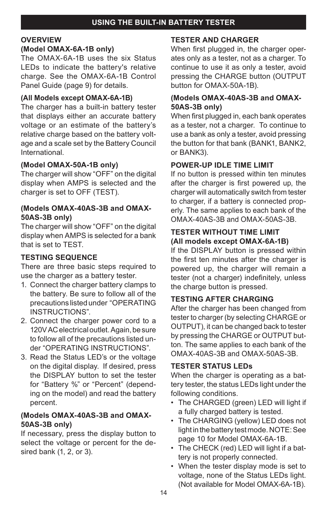# **OVERVIEW**

# **(Model OMAX-6A-1B only)**

The OMAX-6A-1B uses the six Status LEDs to indicate the battery's relative charge. See the OMAX-6A-1B Control Panel Guide (page 9) for details.

#### **(All Models except OMAX-6A-1B)**

The charger has a built-in battery tester that displays either an accurate battery voltage or an estimate of the battery's relative charge based on the battery voltage and a scale set by the Battery Council International.

# **(Model OMAX-50A-1B only)**

The charger will show "OFF" on the digital display when AMPS is selected and the charger is set to OFF (TEST).

#### **(Models OMAX-40AS-3B and OMAX-50AS-3B only)**

The charger will show "OFF" on the digital display when AMPS is selected for a bank that is set to TEST.

# **TESTING SEQUENCE**

There are three basic steps required to use the charger as a battery tester.

- 1. Connect the charger battery clamps to the battery. Be sure to follow all of the precautions listed under "OPERATING INSTRUCTIONS".
- 2. Connect the charger power cord to a 120V AC electrical outlet. Again, be sure to follow all of the precautions listed under "OPERATING INSTRUCTIONS".
- 3. Read the Status LED's or the voltage on the digital display. If desired, press the DISPLAY button to set the tester for "Battery %" or "Percent" (depending on the model) and read the battery percent.

# **(Models OMAX-40AS-3B and OMAX-50AS-3B only)**

If necessary, press the display button to select the voltage or percent for the desired bank (1, 2, or 3).

# **TESTER AND CHARGER**

When first plugged in, the charger operates only as a tester, not as a charger. To continue to use it as only a tester, avoid pressing the CHARGE button (OUTPUT button for OMAX-50A-1B).

#### **(Models OMAX-40AS-3B and OMAX-50AS-3B only)**

When first plugged in, each bank operates as a tester, not a charger. To continue to use a bank as only a tester, avoid pressing the button for that bank (BANK1, BANK2, or BANK3).

# **POWER-UP IDLE TIME LIMIT**

If no button is pressed within ten minutes after the charger is first powered up, the charger will automatically switch from tester to charger, if a battery is connected properly. The same applies to each bank of the OMAX-40AS-3B and OMAX-50AS-3B.

#### **TESTER WITHOUT TIME LIMIT (All models except OMAX-6A-1B)**

If the DISPLAY button is pressed within the first ten minutes after the charger is powered up, the charger will remain a tester (not a charger) indefinitely, unless the charge button is pressed.

# **TESTING AFTER CHARGING**

After the charger has been changed from tester to charger (by selecting CHARGE or OUTPUT), it can be changed back to tester by pressing the CHARGE or OUTPUT button. The same applies to each bank of the OMAX-40AS-3B and OMAX-50AS-3B.

# **TESTER STATUS LEDs**

When the charger is operating as a battery tester, the status LEDs light under the following conditions.

- The CHARGED (green) LED will light if a fully charged battery is tested.
- The CHARGING (yellow) LED does not light in the battery test mode. NOTE: See page 10 for Model OMAX-6A-1B.
- The CHECK (red) LED will light if a battery is not properly connected.
- When the tester display mode is set to voltage, none of the Status LEDs light. (Not available for Model OMAX-6A-1B).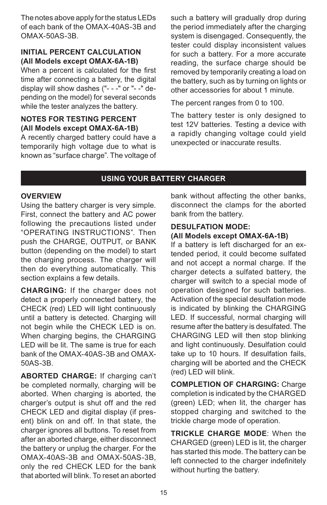The notes above apply for the status LEDs of each bank of the OMAX-40AS-3B and OMAX-50AS-3B.

#### **INITIAL PERCENT CALCULATION (All Models except OMAX-6A-1B)**

When a percent is calculated for the first time after connecting a battery, the digital display will show dashes ("- - -" or "- -" depending on the model) for several seconds while the tester analyzes the battery.

## **NOTES FOR TESTING PERCENT (All Models except OMAX-6A-1B)**

A recently charged battery could have a temporarily high voltage due to what is known as "surface charge". The voltage of such a battery will gradually drop during the period immediately after the charging system is disengaged. Consequently, the tester could display inconsistent values for such a battery. For a more accurate reading, the surface charge should be removed by temporarily creating a load on the battery, such as by turning on lights or other accessories for about 1 minute.

The percent ranges from 0 to 100.

The battery tester is only designed to test 12V batteries. Testing a device with a rapidly changing voltage could yield unexpected or inaccurate results.

#### **using your battery charger**

#### **OVERVIEW**

Using the battery charger is very simple. First, connect the battery and AC power following the precautions listed under "OPERATING INSTRUCTIONS". Then push the CHARGE, OUTPUT, or BANK button (depending on the model) to start the charging process. The charger will then do everything automatically. This section explains a few details.

**CHARGING:** If the charger does not detect a properly connected battery, the CHECK (red) LED will light continuously until a battery is detected. Charging will not begin while the CHECK LED is on. When charging begins, the CHARGING LED will be lit. The same is true for each bank of the OMAX-40AS-3B and OMAX-50AS-3B.

**ABORTED CHARGE:** If charging can't be completed normally, charging will be aborted. When charging is aborted, the charger's output is shut off and the red CHECK LED and digital display (if present) blink on and off. In that state, the charger ignores all buttons. To reset from after an aborted charge, either disconnect the battery or unplug the charger. For the OMAX-40AS-3B and OMAX-50AS-3B, only the red CHECK LED for the bank that aborted will blink. To reset an aborted

bank without affecting the other banks, disconnect the clamps for the aborted bank from the battery.

#### **DESULFATION MODE:**

#### **(All Models except OMAX-6A-1B)**

If a battery is left discharged for an extended period, it could become sulfated and not accept a normal charge. If the charger detects a sulfated battery, the charger will switch to a special mode of operation designed for such batteries. Activation of the special desulfation mode is indicated by blinking the CHARGING LED. If successful, normal charging will resume after the battery is desulfated. The CHARGING LED will then stop blinking and light continuously. Desulfation could take up to 10 hours. If desulfation fails, charging will be aborted and the CHECK (red) LED will blink.

**COMPLETION OF CHARGING:** Charge completion is indicated by the CHARGED (green) LED; when lit, the charger has stopped charging and switched to the trickle charge mode of operation.

**TRICKLE CHARGE MODE**: When the CHARGED (green) LED is lit, the charger has started this mode. The battery can be left connected to the charger indefinitely without hurting the battery.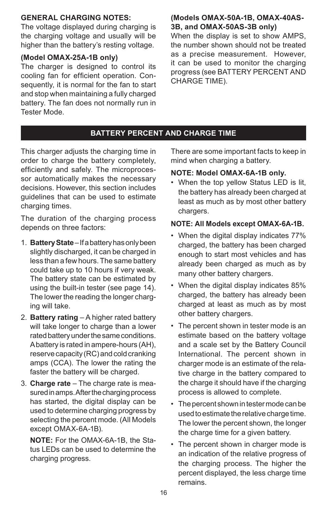#### **GENERAL CHARGING NOTES:**

The voltage displayed during charging is the charging voltage and usually will be higher than the battery's resting voltage.

#### **(Model OMAX-25A-1B only)**

The charger is designed to control its cooling fan for efficient operation. Consequently, it is normal for the fan to start and stop when maintaining a fully charged battery. The fan does not normally run in Tester Mode.

#### **(Models OMAX-50A-1B, OMAX-40AS-3B, and OMAX-50AS-3B only)**

When the display is set to show AMPS, the number shown should not be treated as a precise measurement. However, it can be used to monitor the charging progress (see BATTERY PERCENT AND CHARGE TIME).

# **battery percent and charge time**

This charger adjusts the charging time in order to charge the battery completely, efficiently and safely. The microprocessor automatically makes the necessary decisions. However, this section includes guidelines that can be used to estimate charging times.

The duration of the charging process depends on three factors:

- 1. **Battery State** If a battery has only been slightly discharged, it can be charged in less than a few hours. The same battery could take up to 10 hours if very weak. The battery state can be estimated by using the built-in tester (see page 14). The lower the reading the longer charging will take.
- 2. **Battery rating** A higher rated battery will take longer to charge than a lower rated battery under the same conditions. A battery is rated in ampere-hours (AH), reserve capacity (RC) and cold cranking amps (CCA). The lower the rating the faster the battery will be charged.
- 3. **Charge rate**  The charge rate is measured in amps. After the charging process has started, the digital display can be used to determine charging progress by selecting the percent mode. (All Models except OMAX-6A-1B).

**NOTE:** For the OMAX-6A-1B, the Status LEDs can be used to determine the charging progress.

There are some important facts to keep in mind when charging a battery.

### **NOTE: Model OMAX-6A-1B only.**

• When the top yellow Status LED is lit, the battery has already been charged at least as much as by most other battery chargers.

#### **Note: All Models except OMAX-6A-1B.**

- When the digital display indicates 77% charged, the battery has been charged enough to start most vehicles and has already been charged as much as by many other battery chargers.
- When the digital display indicates 85% charged, the battery has already been charged at least as much as by most other battery chargers.
- The percent shown in tester mode is an estimate based on the battery voltage and a scale set by the Battery Council International. The percent shown in charger mode is an estimate of the relative charge in the battery compared to the charge it should have if the charging process is allowed to complete.
- The percent shown in tester mode can be used to estimate the relative charge time. The lower the percent shown, the longer the charge time for a given battery.
- The percent shown in charger mode is an indication of the relative progress of the charging process. The higher the percent displayed, the less charge time remains.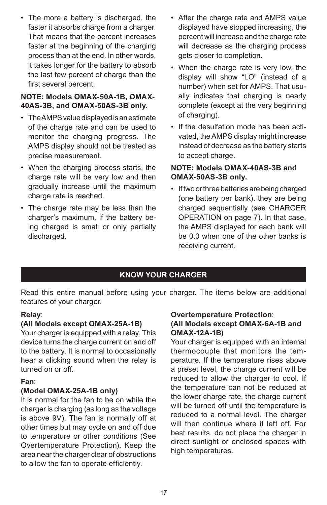• The more a battery is discharged, the faster it absorbs charge from a charger. That means that the percent increases faster at the beginning of the charging process than at the end. In other words, it takes longer for the battery to absorb the last few percent of charge than the first several percent.

#### **NOTE: Models OMAX-50A-1B, OMAX-40AS-3B, and OMAX-50AS-3B only.**

- The AMPS value displayed is an estimate of the charge rate and can be used to monitor the charging progress. The AMPS display should not be treated as precise measurement.
- When the charging process starts, the charge rate will be very low and then gradually increase until the maximum charge rate is reached.
- The charge rate may be less than the charger's maximum, if the battery being charged is small or only partially discharged.
- After the charge rate and AMPS value displayed have stopped increasing, the percent will increase and the charge rate will decrease as the charging process gets closer to completion.
- When the charge rate is very low, the display will show "LO" (instead of a number) when set for AMPS. That usually indicates that charging is nearly complete (except at the very beginning of charging).
- If the desulfation mode has been activated, the AMPS display might increase instead of decrease as the battery starts to accept charge.

#### **NOTE: Models OMAX-40AS-3B and OMAX-50AS-3B only.**

• If two or three batteries are being charged (one battery per bank), they are being charged sequentially (see CHARGER OPERATION on page 7). In that case, the AMPS displayed for each bank will be 0.0 when one of the other banks is receiving current.

# **know your charger**

Read this entire manual before using your charger. The items below are additional features of your charger.

# **Relay**:

#### **(All Models except OMAX-25A-1B)**

Your charger is equipped with a relay. This device turns the charge current on and off to the battery. It is normal to occasionally hear a clicking sound when the relay is turned on or off.

#### **Fan**:

#### **(Model OMAX-25A-1B only)**

It is normal for the fan to be on while the charger is charging (as long as the voltage is above 9V). The fan is normally off at other times but may cycle on and off due to temperature or other conditions (See Overtemperature Protection). Keep the area near the charger clear of obstructions to allow the fan to operate efficiently.

#### **Overtemperature Protection**: **(All Models except OMAX-6A-1B and OMAX-12A-1B)**

Your charger is equipped with an internal thermocouple that monitors the temperature. If the temperature rises above a preset level, the charge current will be reduced to allow the charger to cool. If the temperature can not be reduced at the lower charge rate, the charge current will be turned off until the temperature is reduced to a normal level. The charger will then continue where it left off. For best results, do not place the charger in direct sunlight or enclosed spaces with high temperatures.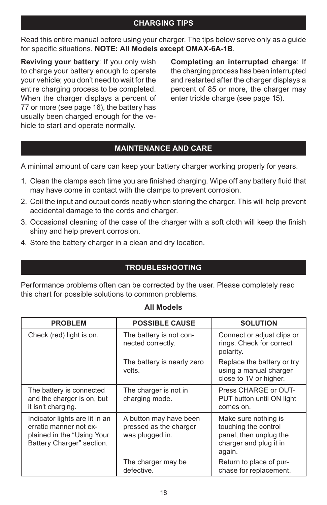# **charging tips**

Read this entire manual before using your charger. The tips below serve only as a guide for specific situations. NOTE: All Models except OMAX-6A-1B.

**Reviving your battery**: If you only wish to charge your battery enough to operate your vehicle; you don't need to wait for the entire charging process to be completed. When the charger displays a percent of 77 or more (see page 16), the battery has usually been charged enough for the vehicle to start and operate normally.

**Completing an interrupted charge**: If the charging process has been interrupted and restarted after the charger displays a percent of 85 or more, the charger may enter trickle charge (see page 15).

# **MAINTENANCE AND CARE**

A minimal amount of care can keep your battery charger working properly for years.

- 1. Clean the clamps each time you are finished charging. Wipe off any battery fluid that may have come in contact with the clamps to prevent corrosion.
- 2. Coil the input and output cords neatly when storing the charger. This will help prevent accidental damage to the cords and charger.
- 3. Occasional cleaning of the case of the charger with a soft cloth will keep the finish shiny and help prevent corrosion.
- 4. Store the battery charger in a clean and dry location.

# **Troubleshooting**

Performance problems often can be corrected by the user. Please completely read this chart for possible solutions to common problems.

| <b>PROBLEM</b>                                                                                                      | <b>POSSIBLE CAUSE</b>                                               | <b>SOLUTION</b>                                                                                            |
|---------------------------------------------------------------------------------------------------------------------|---------------------------------------------------------------------|------------------------------------------------------------------------------------------------------------|
| Check (red) light is on.                                                                                            | The battery is not con-<br>nected correctly.                        | Connect or adjust clips or<br>rings. Check for correct<br>polarity.                                        |
|                                                                                                                     | The battery is nearly zero<br>volts.                                | Replace the battery or try<br>using a manual charger<br>close to 1V or higher.                             |
| The battery is connected<br>and the charger is on, but<br>it isn't charging.                                        | The charger is not in<br>charging mode.                             | Press CHARGE or OUT-<br>PUT button until ON light<br>comes on.                                             |
| Indicator lights are lit in an<br>erratic manner not ex-<br>plained in the "Using Your<br>Battery Charger" section. | A button may have been<br>pressed as the charger<br>was plugged in. | Make sure nothing is<br>touching the control<br>panel, then unplug the<br>charger and plug it in<br>again. |
|                                                                                                                     | The charger may be<br>defective.                                    | Return to place of pur-<br>chase for replacement.                                                          |

#### **All Models**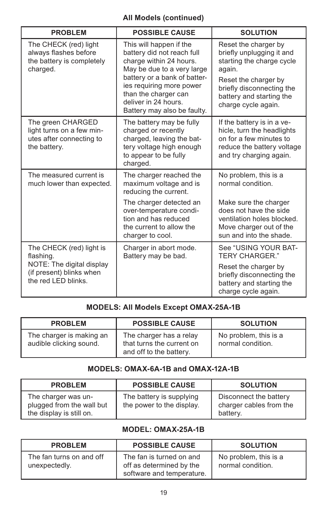# **All Models (continued)**

| <b>PROBLEM</b>                                                                                                         | <b>POSSIBLE CAUSE</b>                                                                                                                                                                                                                                     | <b>SOLUTION</b>                                                                                                                                                                                  |
|------------------------------------------------------------------------------------------------------------------------|-----------------------------------------------------------------------------------------------------------------------------------------------------------------------------------------------------------------------------------------------------------|--------------------------------------------------------------------------------------------------------------------------------------------------------------------------------------------------|
| The CHECK (red) light<br>always flashes before<br>the battery is completely<br>charged.                                | This will happen if the<br>battery did not reach full<br>charge within 24 hours.<br>May be due to a very large<br>battery or a bank of batter-<br>ies requiring more power<br>than the charger can<br>deliver in 24 hours.<br>Battery may also be faulty. | Reset the charger by<br>briefly unplugging it and<br>starting the charge cycle<br>again.<br>Reset the charger by<br>briefly disconnecting the<br>battery and starting the<br>charge cycle again. |
| The green CHARGED<br>light turns on a few min-<br>utes after connecting to<br>the battery.                             | The battery may be fully<br>charged or recently<br>charged, leaving the bat-<br>tery voltage high enough<br>to appear to be fully<br>charged.                                                                                                             | If the battery is in a ve-<br>hicle, turn the headlights<br>on for a few minutes to<br>reduce the battery voltage<br>and try charging again.                                                     |
| The measured current is<br>much lower than expected.                                                                   | The charger reached the<br>maximum voltage and is<br>reducing the current.                                                                                                                                                                                | No problem, this is a<br>normal condition.                                                                                                                                                       |
|                                                                                                                        | The charger detected an<br>over-temperature condi-<br>tion and has reduced<br>the current to allow the<br>charger to cool.                                                                                                                                | Make sure the charger<br>does not have the side<br>ventilation holes blocked.<br>Move charger out of the<br>sun and into the shade.                                                              |
| The CHECK (red) light is<br>flashing.<br>NOTE: The digital display<br>(if present) blinks when<br>the red I FD blinks. | Charger in abort mode.<br>Battery may be bad.                                                                                                                                                                                                             | See "USING YOUR BAT-<br><b>TERY CHARGER."</b><br>Reset the charger by<br>briefly disconnecting the<br>battery and starting the<br>charge cycle again.                                            |

# **MODELS: All Models Except OMAX-25A-1B**

| <b>PROBLEM</b>                                      | <b>POSSIBLE CAUSE</b>                                                           | <b>SOLUTION</b>                            |
|-----------------------------------------------------|---------------------------------------------------------------------------------|--------------------------------------------|
| The charger is making an<br>audible clicking sound. | The charger has a relay<br>that turns the current on<br>and off to the battery. | No problem, this is a<br>normal condition. |

# **MODELS: OMAX-6A-1B and OMAX-12A-1B**

| <b>PROBLEM</b>                                                               | <b>POSSIBLE CAUSE</b>                                 | <b>SOLUTION</b>                                               |
|------------------------------------------------------------------------------|-------------------------------------------------------|---------------------------------------------------------------|
| The charger was un-<br>plugged from the wall but<br>the display is still on. | The battery is supplying<br>the power to the display. | Disconnect the battery<br>charger cables from the<br>battery. |

# **MODEL: OMAX-25A-1B**

| <b>PROBLEM</b>                            | <b>POSSIBLE CAUSE</b>                                                             | <b>SOLUTION</b>                            |
|-------------------------------------------|-----------------------------------------------------------------------------------|--------------------------------------------|
| The fan turns on and off<br>unexpectedly. | The fan is turned on and<br>off as determined by the<br>software and temperature. | No problem, this is a<br>normal condition. |